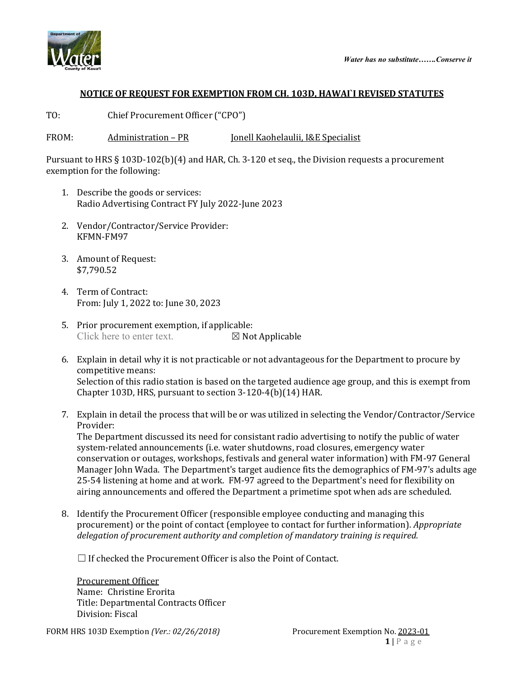



## **NOTICE OF REQUEST FOR EXEMPTION FROM CH. 103D, HAWAI`I REVISED STATUTES**

TO: Chief Procurement Officer ("CPO")

FROM: Administration – PR Jonell Kaohelaulii, I&E Specialist

Pursuant to HRS § 103D-102(b)(4) and HAR, Ch. 3-120 et seq., the Division requests a procurement exemption for the following:

- 1. Describe the goods or services: Radio Advertising Contract FY July 2022-June 2023
- 2. Vendor/Contractor/Service Provider: KFMN-FM97
- 3. Amount of Request: \$7,790.52
- 4. Term of Contract: From: July 1, 2022 to: June 30, 2023
- 5. Prior procurement exemption, if applicable:<br>Click here to enter text.  $\boxtimes$  Not Applicable Click here to enter text.
- 6. Explain in detail why it is not practicable or not advantageous for the Department to procure by competitive means: Selection of this radio station is based on the targeted audience age group, and this is exempt from Chapter 103D, HRS, pursuant to section 3-120-4(b)(14) HAR.
- 7. Explain in detail the process that will be or was utilized in selecting the Vendor/Contractor/Service Provider:

The Department discussed its need for consistant radio advertising to notify the public of water system-related announcements (i.e. water shutdowns, road closures, emergency water conservation or outages, workshops, festivals and general water information) with FM-97 General Manager John Wada. The Department's target audience fits the demographics of FM-97's adults age 25-54 listening at home and at work. FM-97 agreed to the Department's need for flexibility on airing announcements and offered the Department a primetime spot when ads are scheduled.

8. Identify the Procurement Officer (responsible employee conducting and managing this procurement) or the point of contact (employee to contact for further information). *Appropriate delegation of procurement authority and completion of mandatory training is required.*

 $\Box$  If checked the Procurement Officer is also the Point of Contact.

Procurement Officer Name: Christine Erorita Title: Departmental Contracts Officer Division: Fiscal